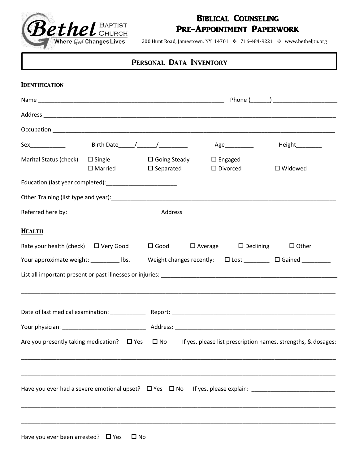

# Biblical Counseling Pre-Appointment Paperwork

200 Hunt Road, Jamestown, NY 14701 ❖ 716-484-9221 ❖ www.betheljtn.org

# PERSONAL DATA INVENTORY

| <b>IDENTIFICATION</b>                                                                                                   |                                               |                                                                        |                   |
|-------------------------------------------------------------------------------------------------------------------------|-----------------------------------------------|------------------------------------------------------------------------|-------------------|
|                                                                                                                         |                                               |                                                                        |                   |
|                                                                                                                         |                                               |                                                                        |                   |
|                                                                                                                         |                                               |                                                                        |                   |
|                                                                                                                         |                                               |                                                                        | Height_________   |
| Marital Status (check)<br>$\Box$ Single<br>$\square$ Married                                                            | $\square$ Going Steady<br>$\square$ Separated | $\Box$ Engaged<br>$\square$ Divorced                                   | $\square$ Widowed |
|                                                                                                                         |                                               |                                                                        |                   |
|                                                                                                                         |                                               |                                                                        |                   |
|                                                                                                                         |                                               |                                                                        |                   |
| <b>HEALTH</b>                                                                                                           |                                               |                                                                        |                   |
| Rate your health (check) $\Box$ Very Good                                                                               |                                               | $\square$ Good $\square$ Average $\square$ Declining                   | $\Box$ Other      |
| Your approximate weight: _________ lbs.                                                                                 |                                               | Weight changes recently: $\Box$ Lost _________ $\Box$ Gained _________ |                   |
|                                                                                                                         |                                               |                                                                        |                   |
|                                                                                                                         |                                               |                                                                        |                   |
|                                                                                                                         |                                               |                                                                        |                   |
| Are you presently taking medication? $\Box$ Yes $\Box$ No If yes, please list prescription names, strengths, & dosages: |                                               |                                                                        |                   |
|                                                                                                                         |                                               |                                                                        |                   |
|                                                                                                                         |                                               |                                                                        |                   |
|                                                                                                                         |                                               |                                                                        |                   |
|                                                                                                                         |                                               |                                                                        |                   |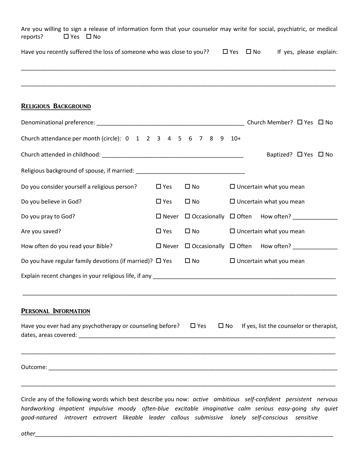| Are you willing to sign a release of information form that your counselor may write for social, psychiatric, or medical<br>reports?<br>$\Box$ Yes $\Box$ No |                 |                                                          |                      |                                                       |                         |
|-------------------------------------------------------------------------------------------------------------------------------------------------------------|-----------------|----------------------------------------------------------|----------------------|-------------------------------------------------------|-------------------------|
| Have you recently suffered the loss of someone who was close to you??                                                                                       |                 |                                                          | $\Box$ Yes $\Box$ No |                                                       | If yes, please explain: |
|                                                                                                                                                             |                 |                                                          |                      |                                                       |                         |
| <b>RELIGIOUS BACKGROUND</b>                                                                                                                                 |                 |                                                          |                      |                                                       |                         |
|                                                                                                                                                             |                 |                                                          |                      |                                                       |                         |
| Church attendance per month (circle): 0 1 2 3 4 5 6 7 8 9 10+                                                                                               |                 |                                                          |                      |                                                       |                         |
|                                                                                                                                                             |                 |                                                          |                      | Baptized? $\Box$ Yes $\Box$ No                        |                         |
|                                                                                                                                                             |                 |                                                          |                      |                                                       |                         |
| Do you consider yourself a religious person?                                                                                                                | $\square$ Yes   | $\square$ No                                             |                      | $\Box$ Uncertain what you mean                        |                         |
| Do you believe in God?                                                                                                                                      | $\square$ Yes   | $\square$ No                                             |                      | $\Box$ Uncertain what you mean                        |                         |
| Do you pray to God?                                                                                                                                         | $\square$ Never | $\Box$ Occasionally $\Box$ Often How often? ____________ |                      |                                                       |                         |
| Are you saved?                                                                                                                                              | $\Box$ Yes      | $\square$ No                                             |                      | $\Box$ Uncertain what you mean                        |                         |
| How often do you read your Bible?                                                                                                                           | $\square$ Never |                                                          |                      |                                                       |                         |
| Do you have regular family devotions (if married)? $\Box$ Yes                                                                                               |                 | $\Box$ No                                                |                      | $\Box$ Uncertain what you mean                        |                         |
|                                                                                                                                                             |                 |                                                          |                      |                                                       |                         |
| PERSONAL INFORMATION                                                                                                                                        |                 |                                                          |                      |                                                       |                         |
| Have you ever had any psychotherapy or counseling before? $\square$ Yes                                                                                     |                 |                                                          |                      | $\square$ No If yes, list the counselor or therapist, |                         |
|                                                                                                                                                             |                 |                                                          |                      |                                                       |                         |

Circle any of the following words which best describe you now: *active ambitious self-confident persistent nervous hardworking impatient impulsive moody often-blue excitable imaginative calm serious easy-going shy quiet good-natured introvert extrovert likeable leader callous submissive lonely self-conscious sensitive* 

*other\_\_\_\_\_\_\_\_\_\_\_\_\_\_\_\_\_\_\_\_\_\_\_\_\_\_\_\_\_\_\_\_\_\_\_\_\_\_\_\_\_\_\_\_\_\_\_\_\_\_\_\_\_\_\_\_\_\_\_\_\_\_\_\_\_\_\_\_\_\_\_\_\_\_\_\_\_\_\_\_\_\_\_\_\_\_\_\_\_\_\_\_\_*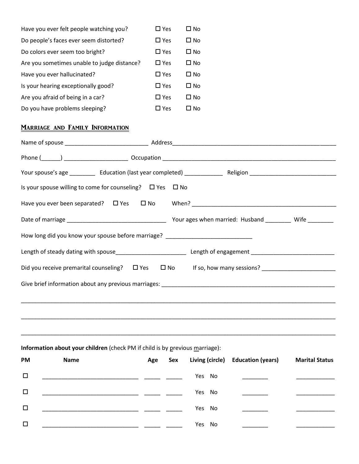| Have you ever felt people watching you?     | $\square$ Yes | ⊟ No |
|---------------------------------------------|---------------|------|
| Do people's faces ever seem distorted?      | $\Box$ Yes    | ∩ No |
| Do colors ever seem too bright?             | $\Box$ Yes    | ∩ No |
| Are you sometimes unable to judge distance? | $\Box$ Yes    | ∩ No |
| Have you ever hallucinated?                 | $\Box$ Yes    | ∩ No |
| Is your hearing exceptionally good?         | $\Box$ Yes    | ∩ No |
| Are you afraid of being in a car?           | $\Box$ Yes    | ∩ No |
| Do you have problems sleeping?              | $\Box$ Yes    | Π N∩ |

# Marriage and Family Information

| Is your spouse willing to come for counseling? $\Box$ Yes $\Box$ No                         |
|---------------------------------------------------------------------------------------------|
|                                                                                             |
|                                                                                             |
| How long did you know your spouse before marriage? _____________________________            |
|                                                                                             |
| Did you receive premarital counseling? $\square$ Yes $\square$ No If so, how many sessions? |
|                                                                                             |
|                                                                                             |
|                                                                                             |
|                                                                                             |

## **Information about your children** (check PM if child is by previous marriage):

| <b>PM</b> | <b>Name</b>                                                                                                            | Age | Sex |        | Living (circle) Education (years)                                                                                                                                                                                                                                                                                                                                                                                                                         | <b>Marital Status</b> |
|-----------|------------------------------------------------------------------------------------------------------------------------|-----|-----|--------|-----------------------------------------------------------------------------------------------------------------------------------------------------------------------------------------------------------------------------------------------------------------------------------------------------------------------------------------------------------------------------------------------------------------------------------------------------------|-----------------------|
| $\Box$    | <u> 1989 - Johann John Harry Harry Harry Harry Harry Harry Harry Harry Harry Harry Harry Harry Harry Harry Harry H</u> |     |     | Yes No | $\mathcal{L}^{\mathcal{L}}(\mathcal{L}^{\mathcal{L}}(\mathcal{L}^{\mathcal{L}}(\mathcal{L}^{\mathcal{L}}(\mathcal{L}^{\mathcal{L}}(\mathcal{L}^{\mathcal{L}}(\mathcal{L}^{\mathcal{L}}(\mathcal{L}^{\mathcal{L}}(\mathcal{L}^{\mathcal{L}}(\mathcal{L}^{\mathcal{L}}(\mathcal{L}^{\mathcal{L}}(\mathcal{L}^{\mathcal{L}}(\mathcal{L}^{\mathcal{L}}(\mathcal{L}^{\mathcal{L}}(\mathcal{L}^{\mathcal{L}}(\mathcal{L}^{\mathcal{L}}(\mathcal{L}^{\mathcal{L$ |                       |
| □         | <u> 1989 - Johann John Stone, mars et al. (1989)</u>                                                                   |     |     | Yes No |                                                                                                                                                                                                                                                                                                                                                                                                                                                           |                       |
| $\Box$    | <u> 1990 - Johann John Stone, mars eta biztanleria (</u>                                                               |     |     | Yes No |                                                                                                                                                                                                                                                                                                                                                                                                                                                           |                       |
| $\Box$    |                                                                                                                        |     |     | Yes No |                                                                                                                                                                                                                                                                                                                                                                                                                                                           |                       |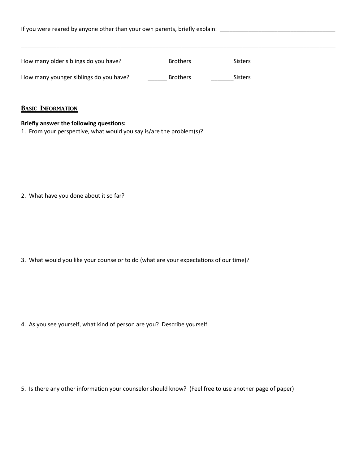| If you were reared by anyone other than your own parents, briefly explain: |                 |                |  |  |  |  |  |
|----------------------------------------------------------------------------|-----------------|----------------|--|--|--|--|--|
| How many older siblings do you have?                                       | <b>Brothers</b> | <b>Sisters</b> |  |  |  |  |  |
| How many younger siblings do you have?                                     | <b>Brothers</b> | <b>Sisters</b> |  |  |  |  |  |
| <b>BASIC INFORMATION</b>                                                   |                 |                |  |  |  |  |  |

#### **Briefly answer the following questions:**

1. From your perspective, what would you say is/are the problem(s)?

2. What have you done about it so far?

3. What would you like your counselor to do (what are your expectations of our time)?

4. As you see yourself, what kind of person are you? Describe yourself.

5. Is there any other information your counselor should know? (Feel free to use another page of paper)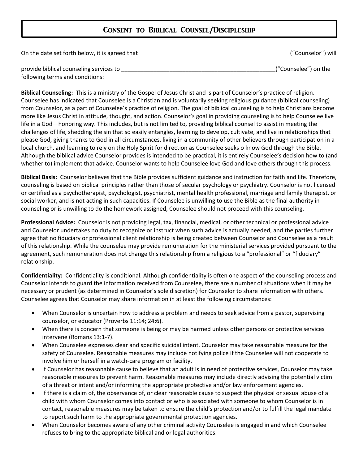# Consent to Biblical Counsel/Discipleship

| On the date set forth below, it is agreed that                             | ("Counselor") will   |
|----------------------------------------------------------------------------|----------------------|
| provide biblical counseling services to<br>following terms and conditions: | ("Counselee") on the |

**Biblical Counseling:** This is a ministry of the Gospel of Jesus Christ and is part of Counselor's practice of religion. Counselee has indicated that Counselee is a Christian and is voluntarily seeking religious guidance (biblical counseling) from Counselor, as a part of Counselee's practice of religion. The goal of biblical counseling is to help Christians become more like Jesus Christ in attitude, thought, and action. Counselor's goal in providing counseling is to help Counselee live life in a God—honoring way. This includes, but is not limited to, providing biblical counsel to assist in meeting the challenges of life, shedding the sin that so easily entangles, learning to develop, cultivate, and live in relationships that please God, giving thanks to God in all circumstances, living in a community of other believers through participation in a local church, and learning to rely on the Holy Spirit for direction as Counselee seeks o know God through the Bible. Although the biblical advice Counselor provides is intended to be practical, it is entirely Counselee's decision how to (and whether to) implement that advice. Counselor wants to help Counselee love God and love others through this process.

**Biblical Basis:** Counselor believes that the Bible provides sufficient guidance and instruction for faith and life. Therefore, counseling is based on biblical principles rather than those of secular psychology or psychiatry. Counselor is not licensed or certified as a psychotherapist, psychologist, psychiatrist, mental health professional, marriage and family therapist, or social worker, and is not acting in such capacities. If Counselee is unwilling to use the Bible as the final authority in counseling or is unwilling to do the homework assigned, Counselee should not proceed with this counseling.

**Professional Advice:** Counselor is not providing legal, tax, financial, medical, or other technical or professional advice and Counselor undertakes no duty to recognize or instruct when such advice is actually needed, and the parties further agree that no fiduciary or professional client relationship is being created between Counselor and Counselee as a result of this relationship. While the counselee may provide remuneration for the ministerial services provided pursuant to the agreement, such remuneration does not change this relationship from a religious to a "professional" or "fiduciary" relationship.

**Confidentiality:** Confidentiality is conditional. Although confidentiality is often one aspect of the counseling process and Counselor intends to guard the information received from Counselee, there are a number of situations when it may be necessary or prudent (as determined in Counselor's sole discretion) for Counselor to share information with others. Counselee agrees that Counselor may share information in at least the following circumstances:

- When Counselor is uncertain how to address a problem and needs to seek advice from a pastor, supervising counselor, or educator (Proverbs 11:14; 24:6).
- When there is concern that someone is being or may be harmed unless other persons or protective services intervene (Romans 13:1-7).
- When Counselee expresses clear and specific suicidal intent, Counselor may take reasonable measure for the safety of Counselee. Reasonable measures may include notifying police if the Counselee will not cooperate to involve him or herself in a watch-care program or facility.
- If Counselor has reasonable cause to believe that an adult is in need of protective services, Counselor may take reasonable measures to prevent harm. Reasonable measures may include directly advising the potential victim of a threat or intent and/or informing the appropriate protective and/or law enforcement agencies.
- If there is a claim of, the observance of, or clear reasonable cause to suspect the physical or sexual abuse of a child with whom Counselor comes into contact or who is associated with someone to whom Counselor is in contact, reasonable measures may be taken to ensure the child's protection and/or to fulfill the legal mandate to report such harm to the appropriate governmental protection agencies.
- When Counselor becomes aware of any other criminal activity Counselee is engaged in and which Counselee refuses to bring to the appropriate biblical and or legal authorities.